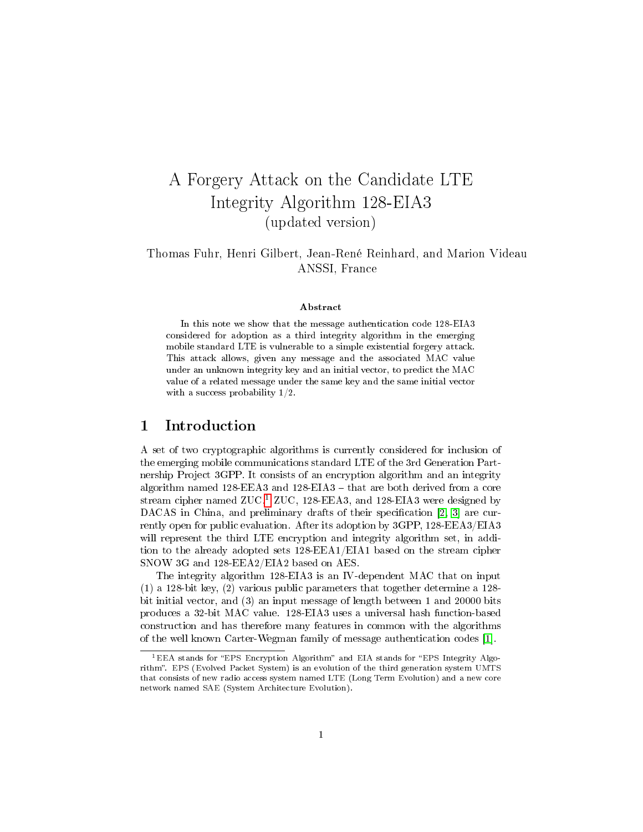# A Forgery Attack on the Candidate LTE Integrity Algorithm 128-EIA3 (updated version)

#### Thomas Fuhr, Henri Gilbert, Jean-René Reinhard, and Marion Videau ANSSI, France

#### Abstract

In this note we show that the message authentication code 128-EIA3 considered for adoption as a third integrity algorithm in the emerging mobile standard LTE is vulnerable to a simple existential forgery attack. This attack allows, given any message and the associated MAC value under an unknown integrity key and an initial vector, to predict the MAC value of a related message under the same key and the same initial vector with a success probability 1/2.

#### 1 Introduction

A set of two cryptographic algorithms is currently considered for inclusion of the emerging mobile communications standard LTE of the 3rd Generation Partnership Project 3GPP. It consists of an encryption algorithm and an integrity algorithm named  $128$ -EEA3 and  $128$ -EIA3  $-$  that are both derived from a core stream cipher named  $ZUC<sup>1</sup> ZUC$  $ZUC<sup>1</sup> ZUC$  $ZUC<sup>1</sup> ZUC$ , 128-EEA3, and 128-EIA3 were designed by DACAS in China, and preliminary drafts of their specification [\[2,](#page-5-0) [3\]](#page-6-0) are currently open for public evaluation. After its adoption by 3GPP, 128-EEA3/EIA3 will represent the third LTE encryption and integrity algorithm set, in addition to the already adopted sets 128-EEA1/EIA1 based on the stream cipher SNOW 3G and 128-EEA2/EIA2 based on AES.

The integrity algorithm 128-EIA3 is an IV-dependent MAC that on input (1) a 128-bit key, (2) various public parameters that together determine a 128 bit initial vector, and (3) an input message of length between 1 and 20000 bits produces a 32-bit MAC value. 128-EIA3 uses a universal hash function-based construction and has therefore many features in common with the algorithms of the well known Carter-Wegman family of message authentication codes [\[1\]](#page-5-1).

<span id="page-0-0"></span> $1EEA$  stands for "EPS Encryption Algorithm" and EIA stands for "EPS Integrity Algorithm". EPS (Evolved Packet System) is an evolution of the third generation system UMTS that consists of new radio access system named LTE (Long Term Evolution) and a new core network named SAE (System Architecture Evolution).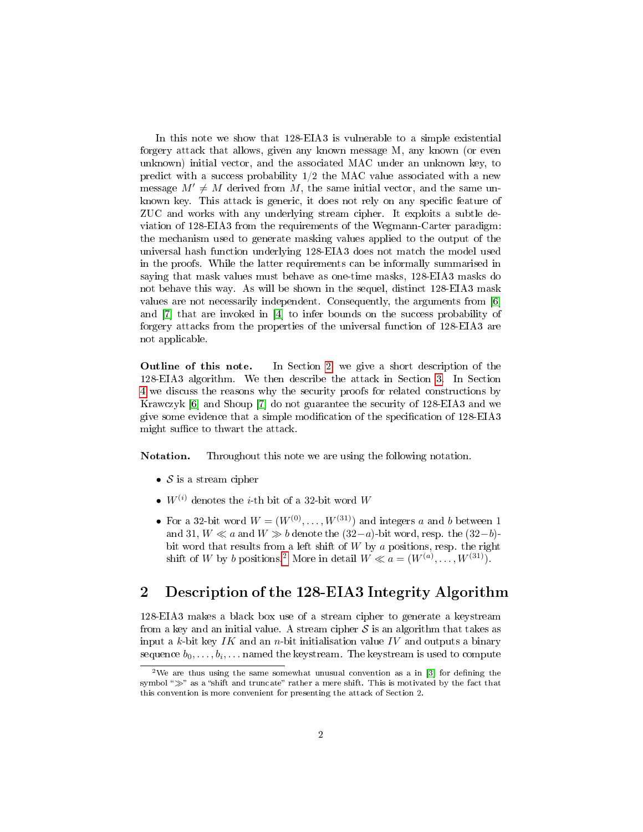In this note we show that 128-EIA3 is vulnerable to a simple existential forgery attack that allows, given any known message M, any known (or even unknown) initial vector, and the associated MAC under an unknown key, to predict with a success probability  $1/2$  the MAC value associated with a new message  $M' \neq M$  derived from M, the same initial vector, and the same unknown key. This attack is generic, it does not rely on any specific feature of ZUC and works with any underlying stream cipher. It exploits a subtle deviation of 128-EIA3 from the requirements of the Wegmann-Carter paradigm: the mechanism used to generate masking values applied to the output of the universal hash function underlying 128-EIA3 does not match the model used in the proofs. While the latter requirements can be informally summarised in saying that mask values must behave as one-time masks, 128-EIA3 masks do not behave this way. As will be shown in the sequel, distinct 128-EIA3 mask values are not necessarily independent. Consequently, the arguments from [\[6\]](#page-6-1) and [\[7\]](#page-6-2) that are invoked in [\[4\]](#page-6-3) to infer bounds on the success probability of forgery attacks from the properties of the universal function of 128-EIA3 are not applicable.

Outline of this note. In Section [2,](#page-1-0) we give a short description of the 128-EIA3 algorithm. We then describe the attack in Section [3.](#page-2-0) In Section [4](#page-3-0) we discuss the reasons why the security proofs for related constructions by Krawczyk [\[6\]](#page-6-1) and Shoup [\[7\]](#page-6-2) do not guarantee the security of 128-EIA3 and we give some evidence that a simple modification of the specification of 128-EIA3 might suffice to thwart the attack.

Notation. Throughout this note we are using the following notation.

- $S$  is a stream cipher
- $W^{(i)}$  denotes the *i*-th bit of a 32-bit word W
- For a 32-bit word  $W = (W^{(0)}, \ldots, W^{(31)})$  and integers a and b between 1 and 31,  $W \ll a$  and  $W \gg b$  denote the  $(32-a)$ -bit word, resp. the  $(32-b)$ bit word that results from a left shift of  $W$  by  $\alpha$  positions, resp. the right shift of W by b positions.<sup>[2](#page-1-1)</sup> More in detail  $W \ll a = (W^{(a)}, \ldots, W^{(31)})$ .

### <span id="page-1-0"></span>2 Description of the 128-EIA3 Integrity Algorithm

128-EIA3 makes a black box use of a stream cipher to generate a keystream from a key and an initial value. A stream cipher  $S$  is an algorithm that takes as input a  $k$ -bit key  $IK$  and an  $n$ -bit initialisation value  $IV$  and outputs a binary sequence  $b_0, \ldots, b_i, \ldots$  named the keystream. The keystream is used to compute

<span id="page-1-1"></span><sup>&</sup>lt;sup>2</sup>We are thus using the same somewhat unusual convention as a in  $\left[3\right]$  for defining the symbol " $\gg$ " as a "shift and truncate" rather a mere shift. This is motivated by the fact that this convention is more convenient for presenting the attack of Section 2.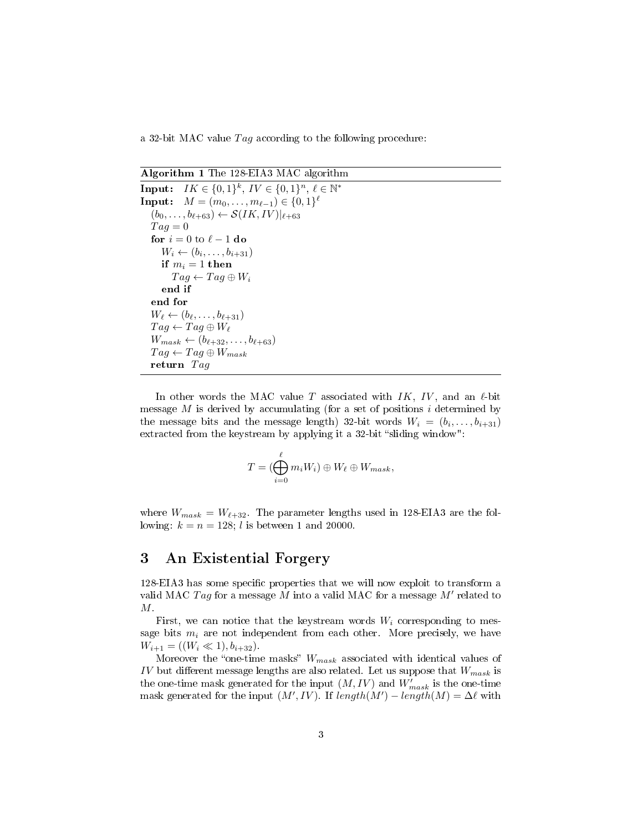a 32-bit MAC value  $Tag$  according to the following procedure:

Algorithm 1 The 128-EIA3 MAC algorithm

Input:  $IK \in \{0,1\}^k$ ,  $IV \in \{0,1\}^n$ ,  $\ell \in \mathbb{N}^*$ **Input:**  $M = (m_0, \ldots, m_{\ell-1}) \in \{0, 1\}^{\ell}$  $(b_0, \ldots, b_{\ell+63}) \leftarrow \mathcal{S}(IK, IV)|_{\ell+63}$  $Tag = 0$ for  $i = 0$  to  $\ell - 1$  do  $W_i \leftarrow (b_i, \ldots, b_{i+31})$ if  $m_i = 1$  then  $Tag \leftarrow Tag \oplus W_i$ end if end for  $W_{\ell} \leftarrow (b_{\ell}, \ldots, b_{\ell+31})$  $Tag \leftarrow Tag \oplus W_{\ell}$  $W_{mask} \leftarrow (b_{\ell+32}, \ldots, b_{\ell+63})$  $Tag \leftarrow Tag \oplus W_{mask}$ return Tag

In other words the MAC value T associated with  $IK, IV$ , and an  $\ell$ -bit message  $M$  is derived by accumulating (for a set of positions  $i$  determined by the message bits and the message length) 32-bit words  $W_i = (b_i, \ldots, b_{i+31})$ extracted from the keystream by applying it a  $32$ -bit "sliding window":

$$
T=(\bigoplus_{i=0}^{\ell}m_iW_i)\oplus W_{\ell}\oplus W_{mask},
$$

where  $W_{mask} = W_{\ell+32}$ . The parameter lengths used in 128-EIA3 are the following:  $k = n = 128$ ; *l* is between 1 and 20000.

#### <span id="page-2-0"></span>3 An Existential Forgery

128-EIA3 has some specific properties that we will now exploit to transform a valid MAC  $Tag$  for a message  $M$  into a valid MAC for a message  $M'$  related to M.

First, we can notice that the keystream words  $W_i$  corresponding to message bits  $m_i$  are not independent from each other. More precisely, we have  $W_{i+1} = ((W_i \ll 1), b_{i+32}).$ 

Moreover the "one-time masks"  $W_{mask}$  associated with identical values of IV but different message lengths are also related. Let us suppose that  $W_{mask}$  is the one-time mask generated for the input  $(M, IV)$  and  $W'_{mask}$  is the one-time mask generated for the input  $(M', IV)$ . If  $length(M') - length(M) = \Delta \ell$  with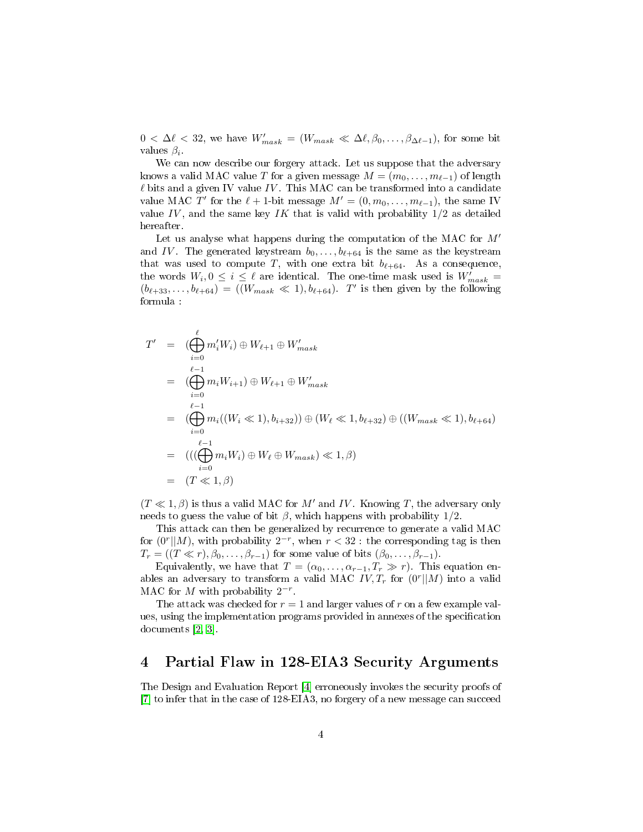$0 < \Delta \ell < 32$ , we have  $W'_{mask} = (W_{mask} \ll \Delta \ell, \beta_0, \ldots, \beta_{\Delta \ell-1})$ , for some bit values  $\beta_i$ .

We can now describe our forgery attack. Let us suppose that the adversary knows a valid MAC value T for a given message  $M = (m_0, \ldots, m_{\ell-1})$  of length  $\ell$  bits and a given IV value IV. This MAC can be transformed into a candidate value MAC T' for the  $\ell + 1$ -bit message  $M' = (0, m_0, \ldots, m_{\ell-1}),$  the same IV value IV, and the same key IK that is valid with probability  $1/2$  as detailed hereafter.

Let us analyse what happens during the computation of the MAC for  $M'$ and IV. The generated keystream  $b_0, \ldots, b_{\ell+64}$  is the same as the keystream that was used to compute T, with one extra bit  $b_{\ell+64}$ . As a consequence, the words  $W_i, 0 \leq i \leq \ell$  are identical. The one-time mask used is  $W'_{mask}$  =  $(b_{\ell+33}, \ldots, b_{\ell+64}) = ((W_{mask} \ll 1), b_{\ell+64}).$  T' is then given by the following formula :

$$
T' = (\bigoplus_{i=0}^{\ell} m'_i W_i) \oplus W_{\ell+1} \oplus W'_{mask}
$$
  
\n
$$
= (\bigoplus_{\ell=1}^{\ell-1} m_i W_{i+1}) \oplus W_{\ell+1} \oplus W'_{mask}
$$
  
\n
$$
= (\bigoplus_{i=0}^{\ell-1} m_i ((W_i \ll 1), b_{i+32})) \oplus (W_{\ell} \ll 1, b_{\ell+32}) \oplus ((W_{mask} \ll 1), b_{\ell+64})
$$
  
\n
$$
= ((\bigoplus_{i=0}^{\ell-1} m_i W_i) \oplus W_{\ell} \oplus W_{mask}) \ll 1, \beta)
$$
  
\n
$$
= (T \ll 1, \beta)
$$

 $(T \ll 1, \beta)$  is thus a valid MAC for M' and IV. Knowing T, the adversary only needs to guess the value of bit  $\beta$ , which happens with probability 1/2.

This attack can then be generalized by recurrence to generate a valid MAC for  $(0^r||M)$ , with probability  $2^{-r}$ , when  $r < 32$ : the corresponding tag is then  $T_r = ((T \ll r), \beta_0, \ldots, \beta_{r-1})$  for some value of bits  $(\beta_0, \ldots, \beta_{r-1}).$ 

Equivalently, we have that  $T = (\alpha_0, \ldots, \alpha_{r-1}, T_r \gg r)$ . This equation enables an adversary to transform a valid MAC  $IV, T_r$  for  $(0^r || M)$  into a valid MAC for  $M$  with probability  $2^{-r}$ .

The attack was checked for  $r = 1$  and larger values of r on a few example values, using the implementation programs provided in annexes of the specification documents [\[2,](#page-5-0) [3\]](#page-6-0).

#### <span id="page-3-0"></span>4 Partial Flaw in 128-EIA3 Security Arguments

The Design and Evaluation Report [\[4\]](#page-6-3) erroneously invokes the security proofs of [\[7\]](#page-6-2) to infer that in the case of 128-EIA3, no forgery of a new message can succeed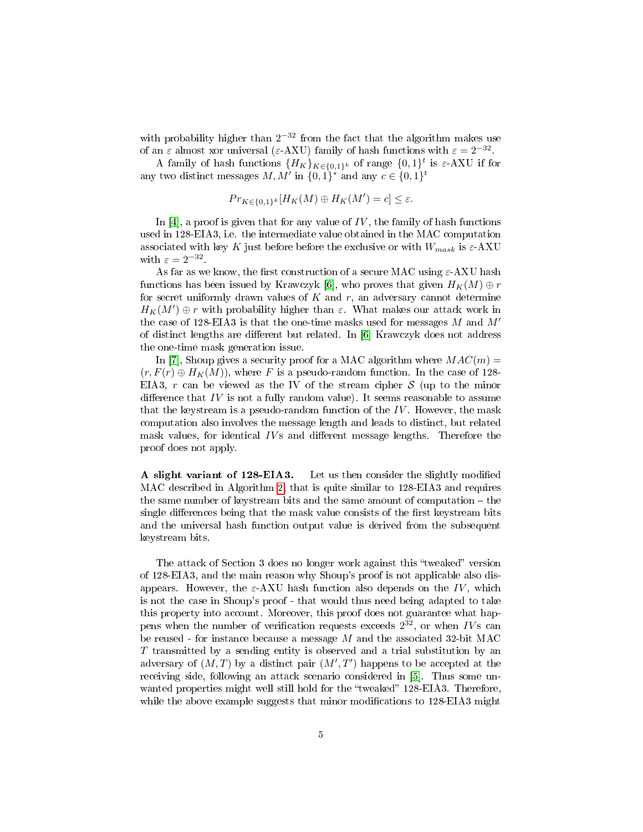with probability higher than  $2^{-32}$  from the fact that the algorithm makes use of an  $\varepsilon$  almost xor universal ( $\varepsilon$ -AXU) family of hash functions with  $\varepsilon = 2^{-32}$ .

A family of hash functions  ${H_K}_{K \in \{0,1\}^k}$  of range  ${0,1}^t$  is  $\varepsilon$ -AXU if for any two distinct messages M, M' in  ${0, 1}^*$  and any  $c \in {0, 1}^t$ 

$$
Pr_{K \in \{0,1\}^k}[H_K(M) \oplus H_K(M') = c] \leq \varepsilon.
$$

In [\[4\]](#page-6-3), a proof is given that for any value of  $IV$ , the family of hash functions used in 128-EIA3, i.e. the intermediate value obtained in the MAC computation associated with key K just before before the exclusive or with  $W_{mask}$  is  $\varepsilon$ -AXU with  $\varepsilon = 2^{-32}$ .

As far as we know, the first construction of a secure MAC using  $\varepsilon$ -AXU hash functions has been issued by Krawczyk [\[6\]](#page-6-1), who proves that given  $H_K(M) \oplus r$ for secret uniformly drawn values of  $K$  and  $r$ , an adversary cannot determine  $H_K(M')\oplus r$  with probability higher than  $\varepsilon$ . What makes our attack work in the case of 128-EIA3 is that the one-time masks used for messages  $M$  and  $M'$ of distinct lengths are different but related. In  $[6]$  Krawczyk does not address the one-time mask generation issue.

In [\[7\]](#page-6-2), Shoup gives a security proof for a MAC algorithm where  $MAC(m) =$  $(r, F(r) \oplus H_K(M))$ , where F is a pseudo-random function. In the case of 128-EIA3, r can be viewed as the IV of the stream cipher  $S$  (up to the minor difference that  $IV$  is not a fully random value). It seems reasonable to assume that the keystream is a pseudo-random function of the  $IV$ . However, the mask computation also involves the message length and leads to distinct, but related mask values, for identical  $IVs$  and different message lengths. Therefore the proof does not apply.

A slight variant of 128-EIA3. Let us then consider the slightly modified MAC described in Algorithm [2,](#page-5-2) that is quite similar to 128-EIA3 and requires the same number of keystream bits and the same amount of computation  $-$  the single differences being that the mask value consists of the first keystream bits and the universal hash function output value is derived from the subsequent keystream bits.

The attack of Section 3 does no longer work against this "tweaked" version of 128-EIA3, and the main reason why Shoup's proof is not applicable also disappears. However, the  $\varepsilon$ -AXU hash function also depends on the IV, which is not the case in Shoup's proof - that would thus need being adapted to take this property into account. Moreover, this proof does not guarantee what happens when the number of verification requests exceeds  $2^{32}$ , or when IVs can be reused - for instance because a message M and the associated 32-bit MAC T transmitted by a sending entity is observed and a trial substitution by an adversary of  $(M, T)$  by a distinct pair  $(M', T')$  happens to be accepted at the receiving side, following an attack scenario considered in [\[5\]](#page-6-4). Thus some unwanted properties might well still hold for the "tweaked" 128-EIA3. Therefore, while the above example suggests that minor modifications to  $128$ -EIA3 might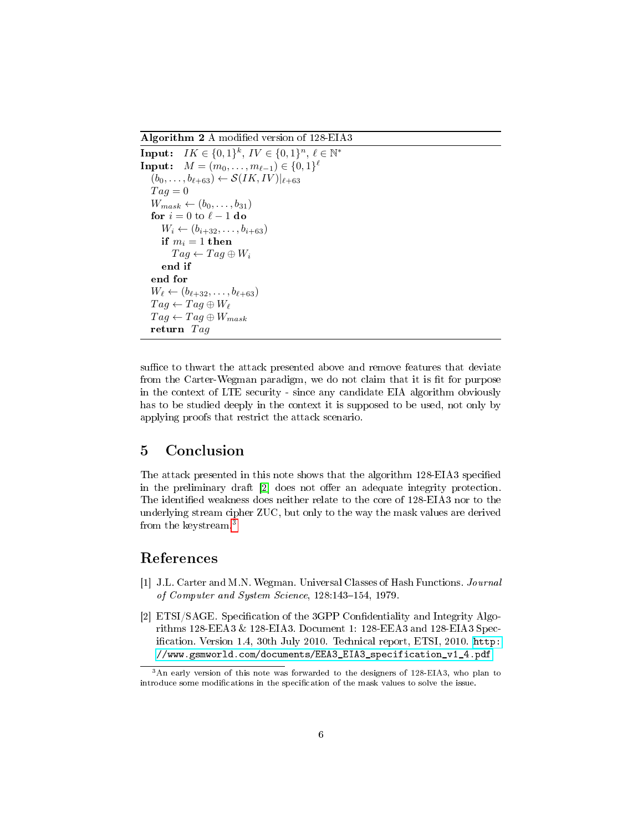<span id="page-5-2"></span>Algorithm 2 A modified version of 128-EIA3

```
Input: IK \in \{0,1\}^k, IV \in \{0,1\}^n, \ell \in \mathbb{N}^*Input: M = (m_0, \ldots, m_{\ell-1}) \in \{0, 1\}^{\ell}(b_0, \ldots, b_{\ell+63}) \leftarrow \mathcal{S}(IK, IV)|_{\ell+63}Taq = 0W_{mask} \leftarrow (b_0, \ldots, b_{31})for i = 0 to \ell - 1 do
    W_i \leftarrow (b_{i+32}, \ldots, b_{i+63})if m_i = 1 then
        Tag \leftarrow Tag \oplus W_iend if
end for
W_{\ell} \leftarrow (b_{\ell+32}, \ldots, b_{\ell+63})Tag \leftarrow Tag \oplus W_{\ell}Tag \leftarrow Tag \oplus W_{mask}return Tag
```
suffice to thwart the attack presented above and remove features that deviate from the Carter-Wegman paradigm, we do not claim that it is fit for purpose in the context of LTE security - since any candidate EIA algorithm obviously has to be studied deeply in the context it is supposed to be used, not only by applying proofs that restrict the attack scenario.

## 5 Conclusion

The attack presented in this note shows that the algorithm 128-EIA3 specified in the preliminary draft  $\lceil 2 \rceil$  does not offer an adequate integrity protection. The identified weakness does neither relate to the core of 128-EIA3 nor to the underlying stream cipher ZUC, but only to the way the mask values are derived from the keystream.[3](#page-5-3)

#### References

- <span id="page-5-1"></span>[1] J.L. Carter and M.N. Wegman. Universal Classes of Hash Functions. Journal of Computer and System Science, 128:143-154, 1979.
- <span id="page-5-0"></span>[2] ETSI/SAGE. Specification of the 3GPP Confidentiality and Integrity Algorithms 128-EEA3 & 128-EIA3. Document 1: 128-EEA3 and 128-EIA3 Specification. Version 1.4, 30th July 2010. Technical report, ETSI, 2010. [http:](http://www.gsmworld.com/documents/EEA3_EIA3_specification_v1_4.pdf) [//www.gsmworld.com/documents/EEA3\\_EIA3\\_specification\\_v1\\_4.pdf.](http://www.gsmworld.com/documents/EEA3_EIA3_specification_v1_4.pdf)

<span id="page-5-3"></span><sup>3</sup>An early version of this note was forwarded to the designers of 128-EIA3, who plan to introduce some modifications in the specification of the mask values to solve the issue.